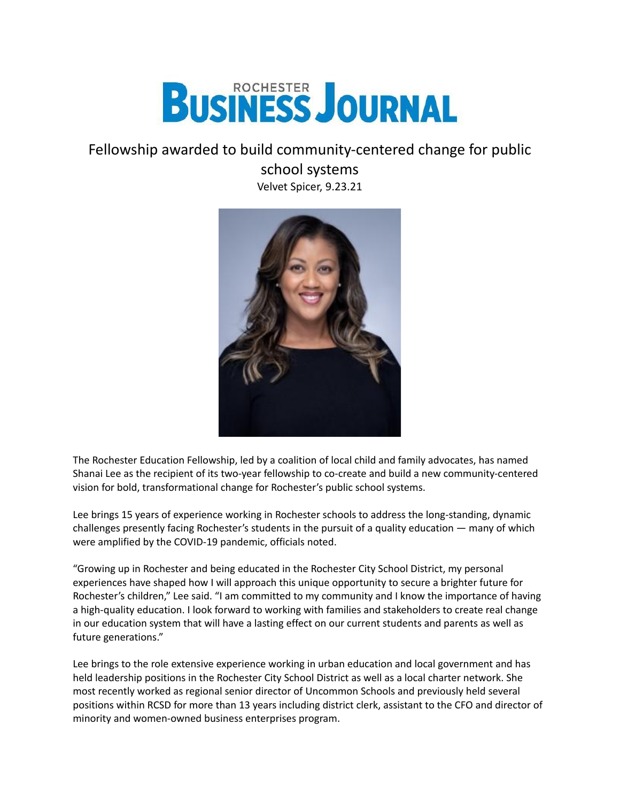

## Fellowship awarded to build community-centered change for public

school systems

Velvet Spicer, 9.23.21



The Rochester Education Fellowship, led by a coalition of local child and family advocates, has named Shanai Lee as the recipient of its two-year fellowship to co-create and build a new community-centered vision for bold, transformational change for Rochester's public school systems.

Lee brings 15 years of experience working in Rochester schools to address the long-standing, dynamic challenges presently facing Rochester's students in the pursuit of a quality education — many of which were amplified by the COVID-19 pandemic, officials noted.

"Growing up in Rochester and being educated in the Rochester City School District, my personal experiences have shaped how I will approach this unique opportunity to secure a brighter future for Rochester's children," Lee said. "I am committed to my community and I know the importance of having a high-quality education. I look forward to working with families and stakeholders to create real change in our education system that will have a lasting effect on our current students and parents as well as future generations."

Lee brings to the role extensive experience working in urban education and local government and has held leadership positions in the Rochester City School District as well as a local charter network. She most recently worked as regional senior director of Uncommon Schools and previously held several positions within RCSD for more than 13 years including district clerk, assistant to the CFO and director of minority and women-owned business enterprises program.